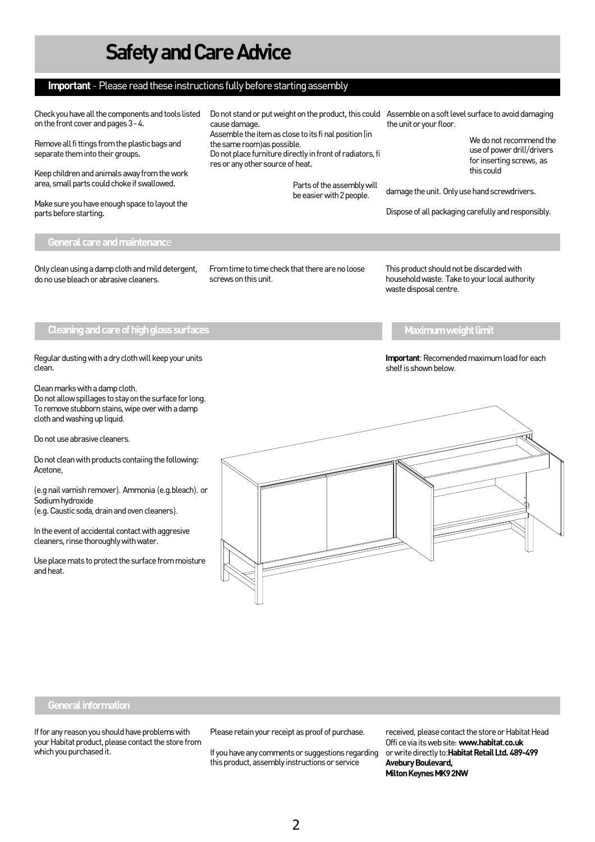

### **Important** - Please read these instructions fully before starting assembly

on the front cover and pages 3 4X

Remove all fi ttings from the plastic bags and separate them into their groupsX

Keep children and animals away from the work area, small parts could choke if swallowed

Make sure you have enough space to layout the parts before starting

cause damage $\overline{X}$ 

Assemble the item as close to its fi nal position (in the same room)as possible.

Do not place furniture directly in front of radiators, fi res or any other source of heat $X$ 



Parts of the assembly will be easier with 2 people.

Check you have all the components and tools listed Do not stand or put weight on the productUhis could Assemble on a soft level surface to avoid damaging the unit or your floor.



We do not recommend the use of power drill/drivers for inserting screws, as this could

damage the unit. Only use hand screwdrivers.

Dispose of all packaging carefully and responsibly.

#### General care and maintenance

Only clean using a damp cloth and mild detergent, do no use bleach or abrasive cleaners.

From time to time check that there are no loose screws on this unit.

This product should not be discarded with household waste. Take to your local authority waste disposal centre.

Cleaning and care of high gloss surfaces  $\blacksquare$  . The maximum weight limit of the maximum weight limit



**Important**: Recomended maximum load for each shelf is shown below.



### General information

If for any reason you should have problems with your Habitat product, please contact the store from which you purchased it.

Please retain your receipt as proof of purchase.

If you have any comments or suggestions regarding this product, assembly instructions or service

received, please contact the store or Habitat Head Offi ce via its web site: **www.habitat co.uk** or write directly to:**Habitat Retail Ltd. 489-499 Avebury Boulevard, Milton Keynes MK9 2NW**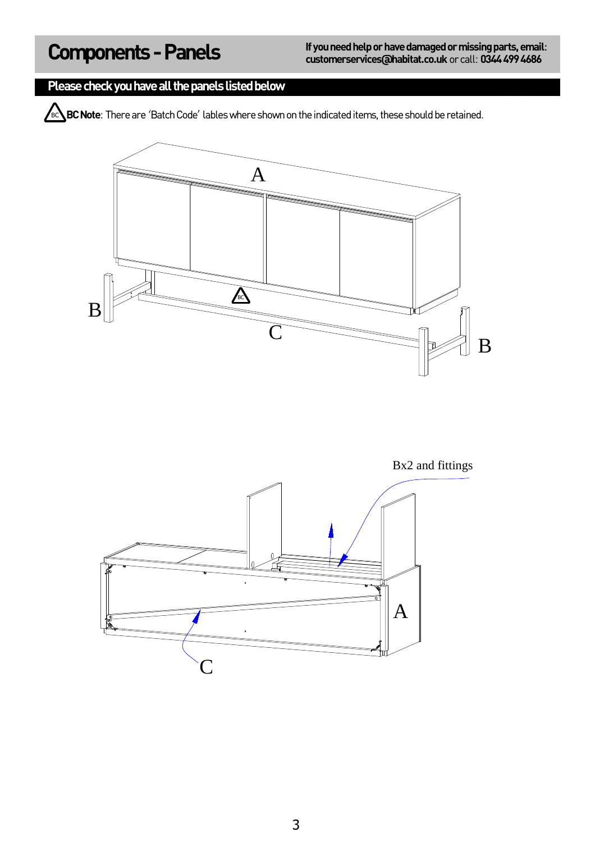### Please check you have all the panels listed below

**BC BC Note**: There are 'Batch Code' lables where shown on the indicated items, these should be retained.



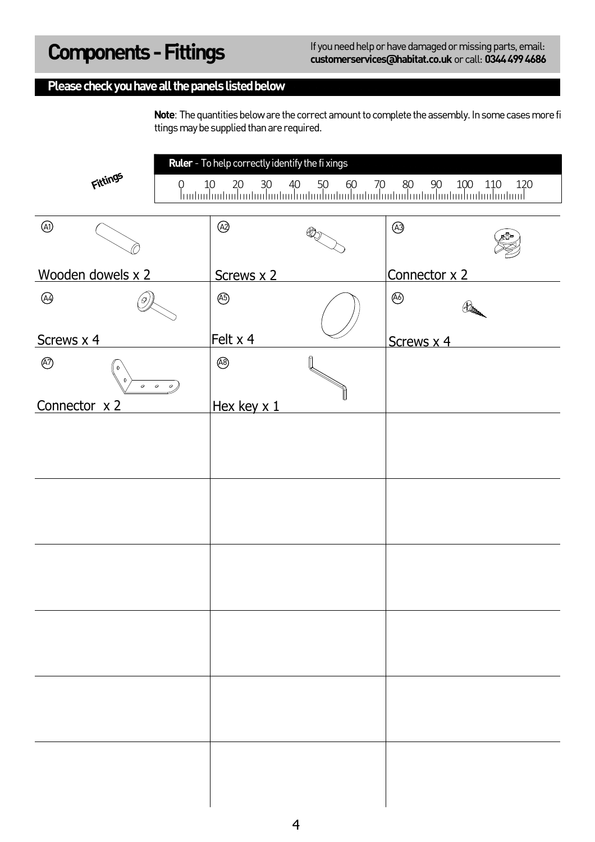### Please check you have all the panels listed below

**Note**: The quantities below are the correct amount to complete the assembly. In some cases more fi ttings may be supplied than are required.

|                                        | Ruler - To help correctly identify the fi xings<br>$\begin{array}{cccc} 0 & 10 & 20 & 30 & 40 & 50 & 60 & 70 & 80 & 90 & 100 & 110 & 120 \\ \hline \end{array}$ |  |                             |  |
|----------------------------------------|-----------------------------------------------------------------------------------------------------------------------------------------------------------------|--|-----------------------------|--|
| Fittings                               |                                                                                                                                                                 |  |                             |  |
| $\circledA$                            | $\circledR$                                                                                                                                                     |  | $\circledcirc$              |  |
| Wooden dowels x 2                      | Screws x 2                                                                                                                                                      |  | Connector x 2               |  |
| $\circledA$<br>′Θ,                     | $\circledB$                                                                                                                                                     |  | $\circledS$<br>$40^{\circ}$ |  |
| Screws x 4                             | Felt x 4                                                                                                                                                        |  | Screws x 4                  |  |
| $\circledcirc$<br>0<br>$\circ$ $\circ$ | $\circledR$<br>$\boldsymbol{\varphi}$                                                                                                                           |  |                             |  |
| Connector x 2                          | Hex key x 1                                                                                                                                                     |  |                             |  |
|                                        |                                                                                                                                                                 |  |                             |  |
|                                        |                                                                                                                                                                 |  |                             |  |
|                                        |                                                                                                                                                                 |  |                             |  |
|                                        |                                                                                                                                                                 |  |                             |  |
|                                        |                                                                                                                                                                 |  |                             |  |
|                                        |                                                                                                                                                                 |  |                             |  |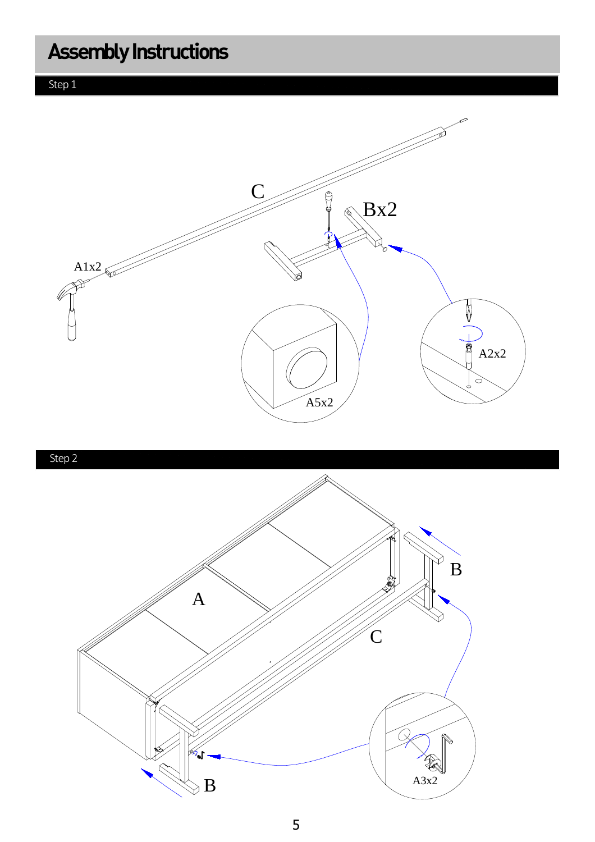Step 1



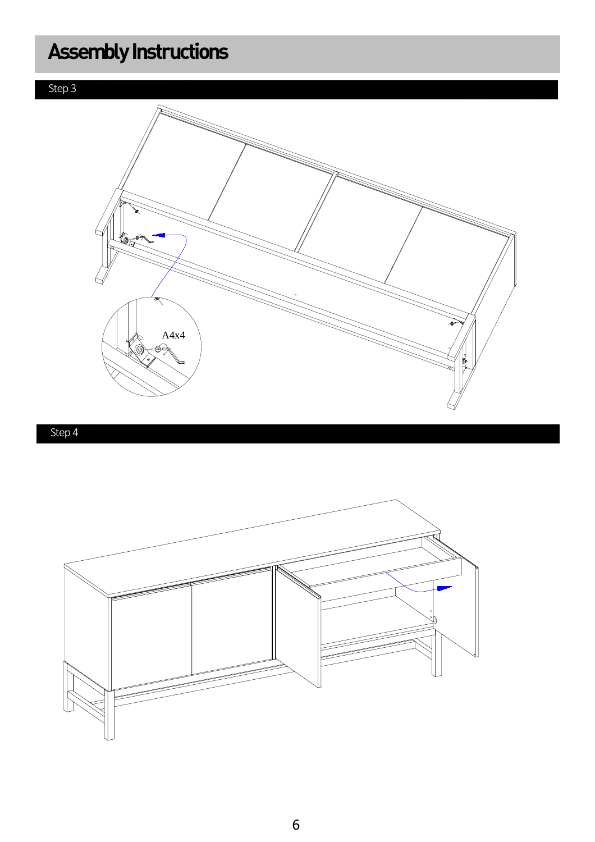



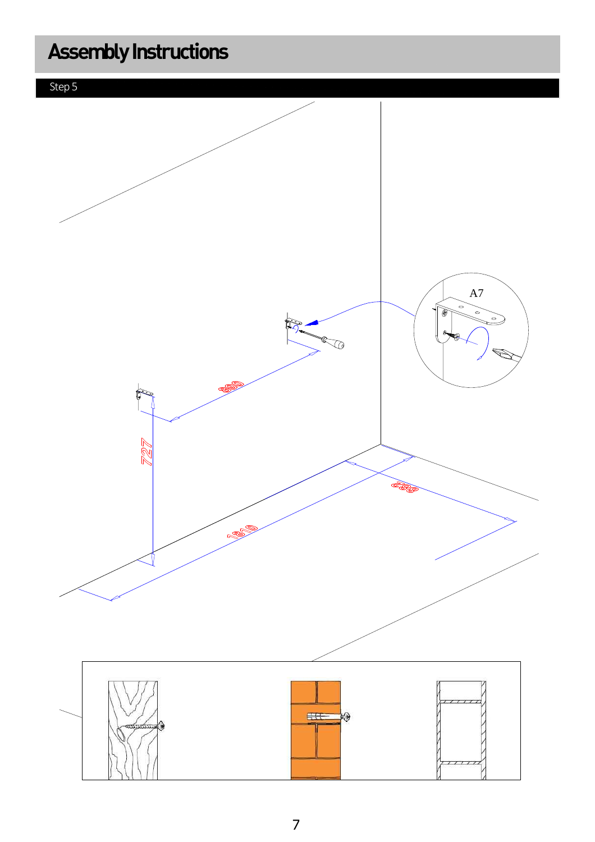